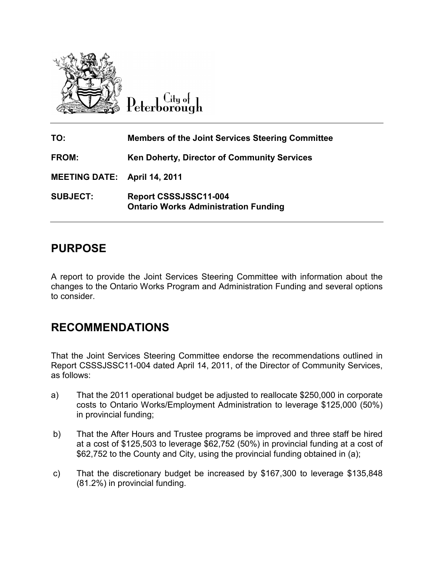

 $C$ itu ot Peterborough

| TO:                                 | <b>Members of the Joint Services Steering Committee</b>              |
|-------------------------------------|----------------------------------------------------------------------|
| FROM:                               | Ken Doherty, Director of Community Services                          |
| <b>MEETING DATE: April 14, 2011</b> |                                                                      |
| <b>SUBJECT:</b>                     | Report CSSSJSSC11-004<br><b>Ontario Works Administration Funding</b> |

## **PURPOSE**

A report to provide the Joint Services Steering Committee with information about the changes to the Ontario Works Program and Administration Funding and several options to consider.

## **RECOMMENDATIONS**

That the Joint Services Steering Committee endorse the recommendations outlined in Report CSSSJSSC11-004 dated April 14, 2011, of the Director of Community Services, as follows:

- a) That the 2011 operational budget be adjusted to reallocate \$250,000 in corporate costs to Ontario Works/Employment Administration to leverage \$125,000 (50%) in provincial funding;
- b) That the After Hours and Trustee programs be improved and three staff be hired at a cost of \$125,503 to leverage \$62,752 (50%) in provincial funding at a cost of \$62,752 to the County and City, using the provincial funding obtained in (a);
- c) That the discretionary budget be increased by \$167,300 to leverage \$135,848 (81.2%) in provincial funding.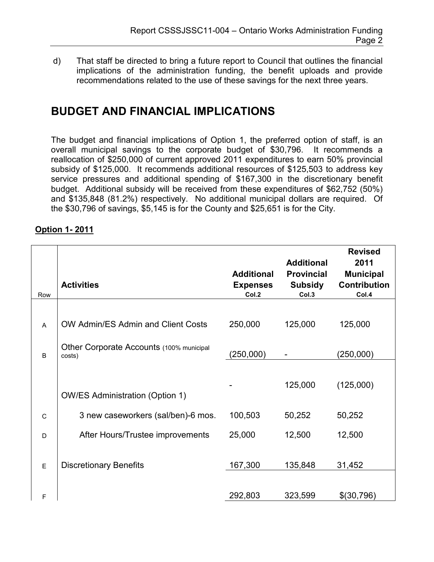d) That staff be directed to bring a future report to Council that outlines the financial implications of the administration funding, the benefit uploads and provide recommendations related to the use of these savings for the next three years.

# **BUDGET AND FINANCIAL IMPLICATIONS**

The budget and financial implications of Option 1, the preferred option of staff, is an overall municipal savings to the corporate budget of \$30,796. It recommends a reallocation of \$250,000 of current approved 2011 expenditures to earn 50% provincial subsidy of \$125,000. It recommends additional resources of \$125,503 to address key service pressures and additional spending of \$167,300 in the discretionary benefit budget. Additional subsidy will be received from these expenditures of \$62,752 (50%) and \$135,848 (81.2%) respectively. No additional municipal dollars are required. Of the \$30,796 of savings, \$5,145 is for the County and \$25,651 is for the City.

| Row            | <b>Activities</b>                                  | <b>Additional</b><br><b>Expenses</b><br>Col.2 | <b>Additional</b><br><b>Provincial</b><br><b>Subsidy</b><br>Col.3 | <b>Revised</b><br>2011<br><b>Municipal</b><br><b>Contribution</b><br>Col.4 |
|----------------|----------------------------------------------------|-----------------------------------------------|-------------------------------------------------------------------|----------------------------------------------------------------------------|
|                |                                                    |                                               |                                                                   |                                                                            |
| A              | OW Admin/ES Admin and Client Costs                 | 250,000                                       | 125,000                                                           | 125,000                                                                    |
| $\overline{B}$ | Other Corporate Accounts (100% municipal<br>costs) | (250,000)                                     |                                                                   | (250,000)                                                                  |
|                |                                                    |                                               |                                                                   |                                                                            |
|                | <b>OW/ES Administration (Option 1)</b>             |                                               | 125,000                                                           | (125,000)                                                                  |
| $\mathsf{C}$   | 3 new caseworkers (sal/ben)-6 mos.                 | 100,503                                       | 50,252                                                            | 50,252                                                                     |
| D              | After Hours/Trustee improvements                   | 25,000                                        | 12,500                                                            | 12,500                                                                     |
|                |                                                    |                                               |                                                                   |                                                                            |
| E              | <b>Discretionary Benefits</b>                      | 167,300                                       | 135,848                                                           | 31,452                                                                     |
|                |                                                    |                                               |                                                                   |                                                                            |
| F              |                                                    | 292,803                                       | 323,599                                                           | \$(30,796)                                                                 |

## **Option 1- 2011**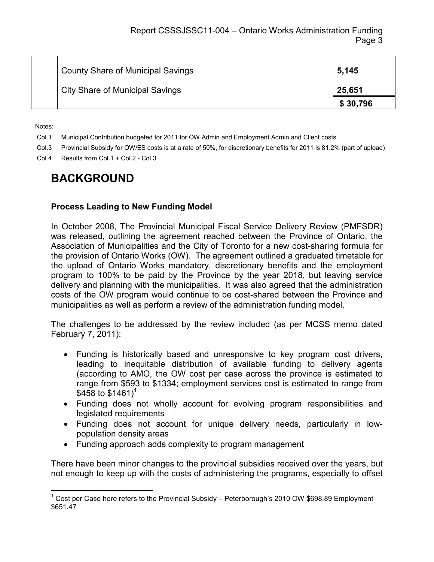| <b>County Share of Municipal Savings</b> | 5,145    |
|------------------------------------------|----------|
| <b>City Share of Municipal Savings</b>   | 25,651   |
|                                          | \$30,796 |

Notes:

 $\overline{a}$ 

Col.1 Municipal Contribution budgeted for 2011 for OW Admin and Employment Admin and Client costs

Col.3 Provincial Subsidy for OW/ES costs is at a rate of 50%, for discretionary benefits for 2011 is 81.2% (part of upload)

Col.4 Results from Col.1 + Col.2 - Col.3

## **BACKGROUND**

#### **Process Leading to New Funding Model**

In October 2008, The Provincial Municipal Fiscal Service Delivery Review (PMFSDR) was released, outlining the agreement reached between the Province of Ontario, the Association of Municipalities and the City of Toronto for a new cost-sharing formula for the provision of Ontario Works (OW). The agreement outlined a graduated timetable for the upload of Ontario Works mandatory, discretionary benefits and the employment program to 100% to be paid by the Province by the year 2018, but leaving service delivery and planning with the municipalities. It was also agreed that the administration costs of the OW program would continue to be cost-shared between the Province and municipalities as well as perform a review of the administration funding model.

The challenges to be addressed by the review included (as per MCSS memo dated February 7, 2011):

- Funding is historically based and unresponsive to key program cost drivers, leading to inequitable distribution of available funding to delivery agents (according to AMO, the OW cost per case across the province is estimated to range from \$593 to \$1334; employment services cost is estimated to range from \$458 to  $$1461$ <sup>1</sup>
- Funding does not wholly account for evolving program responsibilities and legislated requirements
- Funding does not account for unique delivery needs, particularly in lowpopulation density areas
- Funding approach adds complexity to program management

There have been minor changes to the provincial subsidies received over the years, but not enough to keep up with the costs of administering the programs, especially to offset

<sup>&</sup>lt;sup>1</sup> Cost per Case here refers to the Provincial Subsidy – Peterborough's 2010 OW \$698.89 Employment \$651.47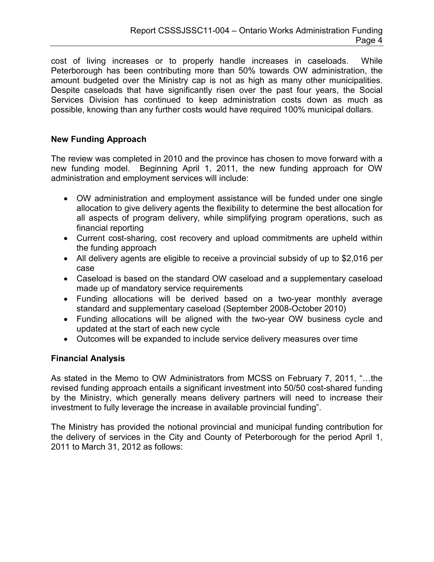cost of living increases or to properly handle increases in caseloads. While Peterborough has been contributing more than 50% towards OW administration, the amount budgeted over the Ministry cap is not as high as many other municipalities. Despite caseloads that have significantly risen over the past four years, the Social Services Division has continued to keep administration costs down as much as possible, knowing than any further costs would have required 100% municipal dollars.

### **New Funding Approach**

The review was completed in 2010 and the province has chosen to move forward with a new funding model. Beginning April 1, 2011, the new funding approach for OW administration and employment services will include:

- OW administration and employment assistance will be funded under one single allocation to give delivery agents the flexibility to determine the best allocation for all aspects of program delivery, while simplifying program operations, such as financial reporting
- Current cost-sharing, cost recovery and upload commitments are upheld within the funding approach
- All delivery agents are eligible to receive a provincial subsidy of up to \$2,016 per case
- Caseload is based on the standard OW caseload and a supplementary caseload made up of mandatory service requirements
- Funding allocations will be derived based on a two-year monthly average standard and supplementary caseload (September 2008-October 2010)
- Funding allocations will be aligned with the two-year OW business cycle and updated at the start of each new cycle
- Outcomes will be expanded to include service delivery measures over time

#### **Financial Analysis**

As stated in the Memo to OW Administrators from MCSS on February 7, 2011, "…the revised funding approach entails a significant investment into 50/50 cost-shared funding by the Ministry, which generally means delivery partners will need to increase their investment to fully leverage the increase in available provincial funding".

The Ministry has provided the notional provincial and municipal funding contribution for the delivery of services in the City and County of Peterborough for the period April 1, 2011 to March 31, 2012 as follows: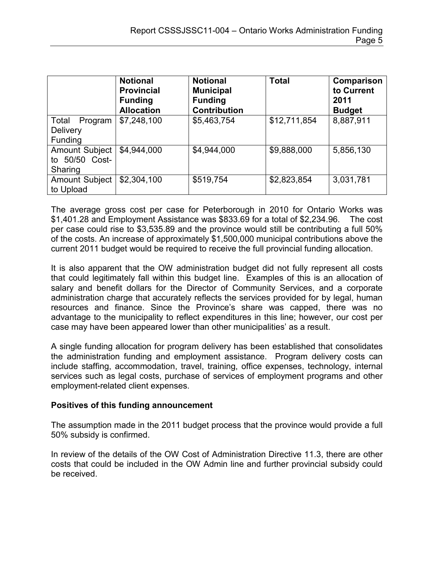|                                                       | <b>Notional</b><br><b>Provincial</b><br><b>Funding</b><br><b>Allocation</b> | <b>Notional</b><br><b>Municipal</b><br><b>Funding</b><br><b>Contribution</b> | <b>Total</b> | Comparison<br>to Current<br>2011<br><b>Budget</b> |
|-------------------------------------------------------|-----------------------------------------------------------------------------|------------------------------------------------------------------------------|--------------|---------------------------------------------------|
| Total<br>Program<br><b>Delivery</b><br><b>Funding</b> | \$7,248,100                                                                 | \$5,463,754                                                                  | \$12,711,854 | 8,887,911                                         |
| <b>Amount Subject</b><br>to 50/50 Cost-<br>Sharing    | \$4,944,000                                                                 | \$4,944,000                                                                  | \$9,888,000  | 5,856,130                                         |
| <b>Amount Subject</b><br>to Upload                    | \$2,304,100                                                                 | \$519,754                                                                    | \$2,823,854  | 3,031,781                                         |

The average gross cost per case for Peterborough in 2010 for Ontario Works was \$1,401.28 and Employment Assistance was \$833.69 for a total of \$2,234.96. The cost per case could rise to \$3,535.89 and the province would still be contributing a full 50% of the costs. An increase of approximately \$1,500,000 municipal contributions above the current 2011 budget would be required to receive the full provincial funding allocation.

It is also apparent that the OW administration budget did not fully represent all costs that could legitimately fall within this budget line. Examples of this is an allocation of salary and benefit dollars for the Director of Community Services, and a corporate administration charge that accurately reflects the services provided for by legal, human resources and finance. Since the Province's share was capped, there was no advantage to the municipality to reflect expenditures in this line; however, our cost per case may have been appeared lower than other municipalities' as a result.

A single funding allocation for program delivery has been established that consolidates the administration funding and employment assistance. Program delivery costs can include staffing, accommodation, travel, training, office expenses, technology, internal services such as legal costs, purchase of services of employment programs and other employment-related client expenses.

#### **Positives of this funding announcement**

The assumption made in the 2011 budget process that the province would provide a full 50% subsidy is confirmed.

In review of the details of the OW Cost of Administration Directive 11.3, there are other costs that could be included in the OW Admin line and further provincial subsidy could be received.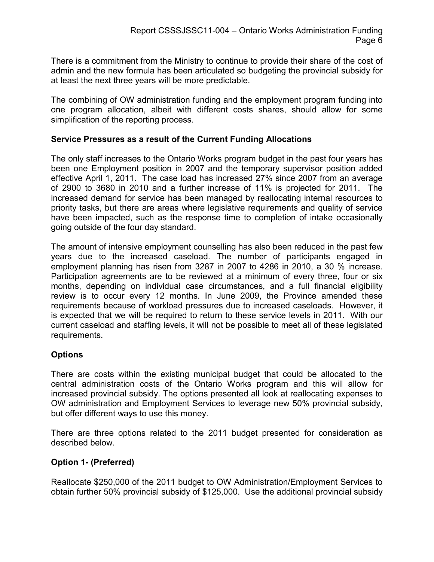There is a commitment from the Ministry to continue to provide their share of the cost of admin and the new formula has been articulated so budgeting the provincial subsidy for at least the next three years will be more predictable.

The combining of OW administration funding and the employment program funding into one program allocation, albeit with different costs shares, should allow for some simplification of the reporting process.

#### **Service Pressures as a result of the Current Funding Allocations**

The only staff increases to the Ontario Works program budget in the past four years has been one Employment position in 2007 and the temporary supervisor position added effective April 1, 2011. The case load has increased 27% since 2007 from an average of 2900 to 3680 in 2010 and a further increase of 11% is projected for 2011. The increased demand for service has been managed by reallocating internal resources to priority tasks, but there are areas where legislative requirements and quality of service have been impacted, such as the response time to completion of intake occasionally going outside of the four day standard.

The amount of intensive employment counselling has also been reduced in the past few years due to the increased caseload. The number of participants engaged in employment planning has risen from 3287 in 2007 to 4286 in 2010, a 30 % increase. Participation agreements are to be reviewed at a minimum of every three, four or six months, depending on individual case circumstances, and a full financial eligibility review is to occur every 12 months. In June 2009, the Province amended these requirements because of workload pressures due to increased caseloads. However, it is expected that we will be required to return to these service levels in 2011. With our current caseload and staffing levels, it will not be possible to meet all of these legislated requirements.

### **Options**

There are costs within the existing municipal budget that could be allocated to the central administration costs of the Ontario Works program and this will allow for increased provincial subsidy. The options presented all look at reallocating expenses to OW administration and Employment Services to leverage new 50% provincial subsidy, but offer different ways to use this money.

There are three options related to the 2011 budget presented for consideration as described below.

### **Option 1- (Preferred)**

Reallocate \$250,000 of the 2011 budget to OW Administration/Employment Services to obtain further 50% provincial subsidy of \$125,000. Use the additional provincial subsidy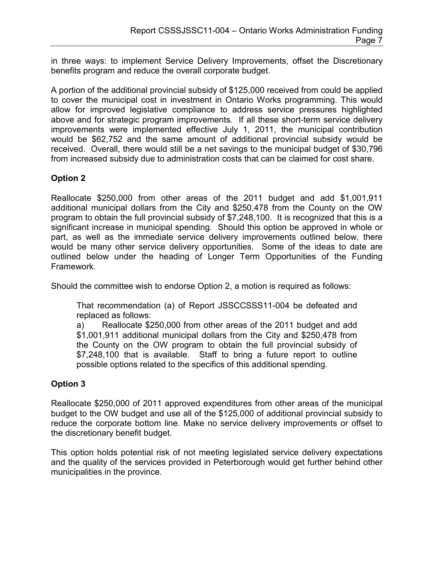in three ways: to implement Service Delivery Improvements, offset the Discretionary benefits program and reduce the overall corporate budget.

A portion of the additional provincial subsidy of \$125,000 received from could be applied to cover the municipal cost in investment in Ontario Works programming. This would allow for improved legislative compliance to address service pressures highlighted above and for strategic program improvements. If all these short-term service delivery improvements were implemented effective July 1, 2011, the municipal contribution would be \$62,752 and the same amount of additional provincial subsidy would be received. Overall, there would still be a net savings to the municipal budget of \$30,796 from increased subsidy due to administration costs that can be claimed for cost share.

### **Option 2**

Reallocate \$250,000 from other areas of the 2011 budget and add \$1,001,911 additional municipal dollars from the City and \$250,478 from the County on the OW program to obtain the full provincial subsidy of \$7,248,100. It is recognized that this is a significant increase in municipal spending. Should this option be approved in whole or part, as well as the immediate service delivery improvements outlined below, there would be many other service delivery opportunities. Some of the ideas to date are outlined below under the heading of Longer Term Opportunities of the Funding Framework.

Should the committee wish to endorse Option 2, a motion is required as follows:

That recommendation (a) of Report JSSCCSSS11-004 be defeated and replaced as follows:

a) Reallocate \$250,000 from other areas of the 2011 budget and add \$1,001,911 additional municipal dollars from the City and \$250,478 from the County on the OW program to obtain the full provincial subsidy of \$7,248,100 that is available. Staff to bring a future report to outline possible options related to the specifics of this additional spending.

### **Option 3**

Reallocate \$250,000 of 2011 approved expenditures from other areas of the municipal budget to the OW budget and use all of the \$125,000 of additional provincial subsidy to reduce the corporate bottom line. Make no service delivery improvements or offset to the discretionary benefit budget.

This option holds potential risk of not meeting legislated service delivery expectations and the quality of the services provided in Peterborough would get further behind other municipalities in the province.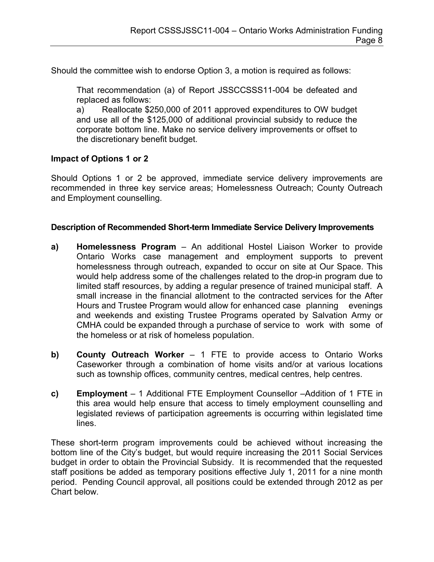Should the committee wish to endorse Option 3, a motion is required as follows:

That recommendation (a) of Report JSSCCSSS11-004 be defeated and replaced as follows:

a) Reallocate \$250,000 of 2011 approved expenditures to OW budget and use all of the \$125,000 of additional provincial subsidy to reduce the corporate bottom line. Make no service delivery improvements or offset to the discretionary benefit budget.

#### **Impact of Options 1 or 2**

Should Options 1 or 2 be approved, immediate service delivery improvements are recommended in three key service areas; Homelessness Outreach; County Outreach and Employment counselling.

#### **Description of Recommended Short-term Immediate Service Delivery Improvements**

- **a) Homelessness Program** An additional Hostel Liaison Worker to provide Ontario Works case management and employment supports to prevent homelessness through outreach, expanded to occur on site at Our Space. This would help address some of the challenges related to the drop-in program due to limited staff resources, by adding a regular presence of trained municipal staff. A small increase in the financial allotment to the contracted services for the After Hours and Trustee Program would allow for enhanced case planning evenings and weekends and existing Trustee Programs operated by Salvation Army or CMHA could be expanded through a purchase of service to work with some of the homeless or at risk of homeless population.
- **b) County Outreach Worker** 1 FTE to provide access to Ontario Works Caseworker through a combination of home visits and/or at various locations such as township offices, community centres, medical centres, help centres.
- **c) Employment** 1 Additional FTE Employment Counsellor –Addition of 1 FTE in this area would help ensure that access to timely employment counselling and legislated reviews of participation agreements is occurring within legislated time lines.

These short-term program improvements could be achieved without increasing the bottom line of the City's budget, but would require increasing the 2011 Social Services budget in order to obtain the Provincial Subsidy. It is recommended that the requested staff positions be added as temporary positions effective July 1, 2011 for a nine month period. Pending Council approval, all positions could be extended through 2012 as per Chart below.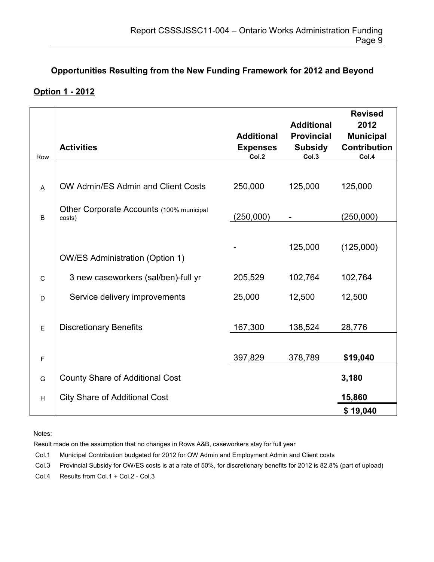## **Opportunities Resulting from the New Funding Framework for 2012 and Beyond**

### **Option 1 - 2012**

| Row          | <b>Activities</b>                                  | <b>Additional</b><br><b>Expenses</b><br>Col.2 | <b>Additional</b><br><b>Provincial</b><br><b>Subsidy</b><br>Col.3 | <b>Revised</b><br>2012<br><b>Municipal</b><br><b>Contribution</b><br>Col.4 |
|--------------|----------------------------------------------------|-----------------------------------------------|-------------------------------------------------------------------|----------------------------------------------------------------------------|
|              |                                                    |                                               |                                                                   |                                                                            |
| A            | OW Admin/ES Admin and Client Costs                 | 250,000                                       | 125,000                                                           | 125,000                                                                    |
| B            | Other Corporate Accounts (100% municipal<br>costs) | (250,000)                                     |                                                                   | (250,000)                                                                  |
|              |                                                    |                                               |                                                                   |                                                                            |
|              | <b>OW/ES Administration (Option 1)</b>             |                                               | 125,000                                                           | (125,000)                                                                  |
| $\mathsf{C}$ | 3 new caseworkers (sal/ben)-full yr                | 205,529                                       | 102,764                                                           | 102,764                                                                    |
| D            | Service delivery improvements                      | 25,000                                        | 12,500                                                            | 12,500                                                                     |
|              |                                                    |                                               |                                                                   |                                                                            |
| E            | <b>Discretionary Benefits</b>                      | 167,300                                       | 138,524                                                           | 28,776                                                                     |
| $\mathsf F$  |                                                    | 397,829                                       | 378,789                                                           | \$19,040                                                                   |
| G            | <b>County Share of Additional Cost</b>             |                                               |                                                                   | 3,180                                                                      |
| $\sf H$      | <b>City Share of Additional Cost</b>               |                                               |                                                                   | 15,860                                                                     |
|              |                                                    |                                               |                                                                   | \$19,040                                                                   |

Notes:

Result made on the assumption that no changes in Rows A&B, caseworkers stay for full year

Col.1 Municipal Contribution budgeted for 2012 for OW Admin and Employment Admin and Client costs

Col.3 Provincial Subsidy for OW/ES costs is at a rate of 50%, for discretionary benefits for 2012 is 82.8% (part of upload)

Col.4 Results from Col.1 + Col.2 - Col.3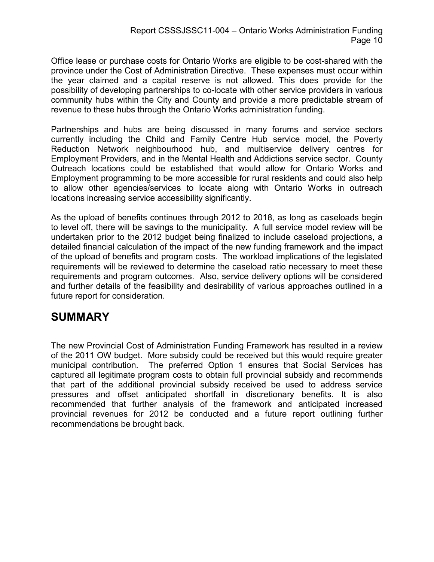Office lease or purchase costs for Ontario Works are eligible to be cost-shared with the province under the Cost of Administration Directive. These expenses must occur within the year claimed and a capital reserve is not allowed. This does provide for the possibility of developing partnerships to co-locate with other service providers in various community hubs within the City and County and provide a more predictable stream of revenue to these hubs through the Ontario Works administration funding.

Partnerships and hubs are being discussed in many forums and service sectors currently including the Child and Family Centre Hub service model, the Poverty Reduction Network neighbourhood hub, and multiservice delivery centres for Employment Providers, and in the Mental Health and Addictions service sector. County Outreach locations could be established that would allow for Ontario Works and Employment programming to be more accessible for rural residents and could also help to allow other agencies/services to locate along with Ontario Works in outreach locations increasing service accessibility significantly.

As the upload of benefits continues through 2012 to 2018, as long as caseloads begin to level off, there will be savings to the municipality. A full service model review will be undertaken prior to the 2012 budget being finalized to include caseload projections, a detailed financial calculation of the impact of the new funding framework and the impact of the upload of benefits and program costs. The workload implications of the legislated requirements will be reviewed to determine the caseload ratio necessary to meet these requirements and program outcomes. Also, service delivery options will be considered and further details of the feasibility and desirability of various approaches outlined in a future report for consideration.

## **SUMMARY**

The new Provincial Cost of Administration Funding Framework has resulted in a review of the 2011 OW budget. More subsidy could be received but this would require greater municipal contribution. The preferred Option 1 ensures that Social Services has captured all legitimate program costs to obtain full provincial subsidy and recommends that part of the additional provincial subsidy received be used to address service pressures and offset anticipated shortfall in discretionary benefits. It is also recommended that further analysis of the framework and anticipated increased provincial revenues for 2012 be conducted and a future report outlining further recommendations be brought back.